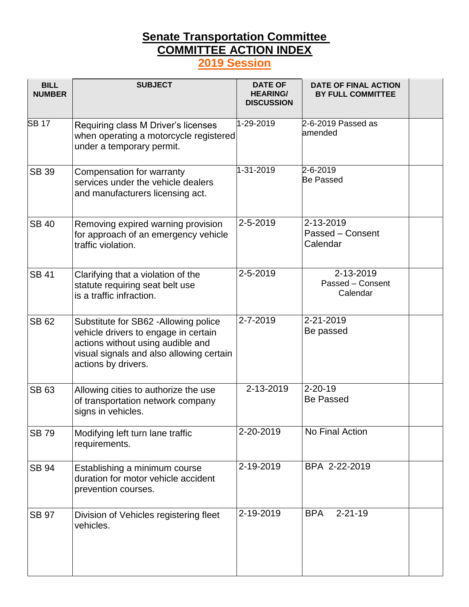## **Senate Transportation Committee COMMITTEE ACTION INDEX 2019 Session**

| <b>BILL</b><br><b>NUMBER</b> | <b>SUBJECT</b>                                                                                                                                                                        | <b>DATE OF</b><br><b>HEARING/</b><br><b>DISCUSSION</b> | <b>DATE OF FINAL ACTION</b><br><b>BY FULL COMMITTEE</b> |  |
|------------------------------|---------------------------------------------------------------------------------------------------------------------------------------------------------------------------------------|--------------------------------------------------------|---------------------------------------------------------|--|
| <b>SB 17</b>                 | Requiring class M Driver's licenses<br>when operating a motorcycle registered<br>under a temporary permit.                                                                            | 1-29-2019                                              | 2-6-2019 Passed as<br>amended                           |  |
| <b>SB 39</b>                 | Compensation for warranty<br>services under the vehicle dealers<br>and manufacturers licensing act.                                                                                   | 1-31-2019                                              | 2-6-2019<br><b>Be Passed</b>                            |  |
| <b>SB 40</b>                 | Removing expired warning provision<br>for approach of an emergency vehicle<br>traffic violation.                                                                                      | 2-5-2019                                               | 2-13-2019<br>Passed - Consent<br>Calendar               |  |
| <b>SB 41</b>                 | Clarifying that a violation of the<br>statute requiring seat belt use<br>is a traffic infraction.                                                                                     | 2-5-2019                                               | 2-13-2019<br>Passed - Consent<br>Calendar               |  |
| <b>SB 62</b>                 | Substitute for SB62 - Allowing police<br>vehicle drivers to engage in certain<br>actions without using audible and<br>visual signals and also allowing certain<br>actions by drivers. | 2-7-2019                                               | 2-21-2019<br>Be passed                                  |  |
| <b>SB 63</b>                 | Allowing cities to authorize the use<br>of transportation network company<br>signs in vehicles.                                                                                       | 2-13-2019                                              | $2 - 20 - 19$<br><b>Be Passed</b>                       |  |
| <b>SB79</b>                  | Modifying left turn lane traffic<br>requirements.                                                                                                                                     | 2-20-2019                                              | No Final Action                                         |  |
| <b>SB 94</b>                 | Establishing a minimum course<br>duration for motor vehicle accident<br>prevention courses.                                                                                           | 2-19-2019                                              | BPA 2-22-2019                                           |  |
| <b>SB 97</b>                 | Division of Vehicles registering fleet<br>vehicles.                                                                                                                                   | 2-19-2019                                              | $2 - 21 - 19$<br><b>BPA</b>                             |  |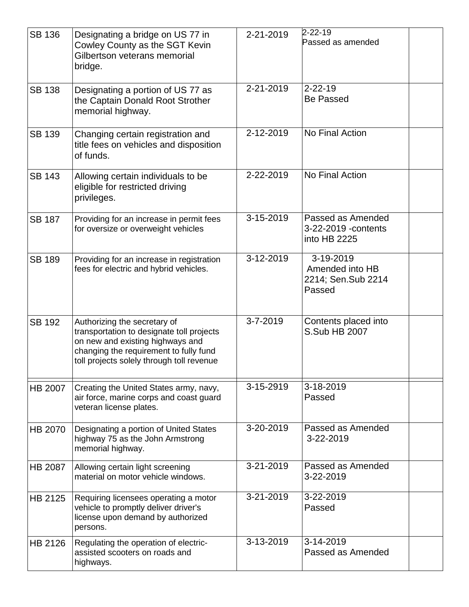| <b>SB 136</b>  | Designating a bridge on US 77 in<br>Cowley County as the SGT Kevin<br>Gilbertson veterans memorial<br>bridge.                                                                                        | 2-21-2019      | $2 - 22 - 19$<br>Passed as amended                           |
|----------------|------------------------------------------------------------------------------------------------------------------------------------------------------------------------------------------------------|----------------|--------------------------------------------------------------|
| <b>SB 138</b>  | Designating a portion of US 77 as<br>the Captain Donald Root Strother<br>memorial highway.                                                                                                           | 2-21-2019      | $2 - 22 - 19$<br><b>Be Passed</b>                            |
| <b>SB 139</b>  | Changing certain registration and<br>title fees on vehicles and disposition<br>of funds.                                                                                                             | 2-12-2019      | No Final Action                                              |
| <b>SB 143</b>  | Allowing certain individuals to be<br>eligible for restricted driving<br>privileges.                                                                                                                 | 2-22-2019      | No Final Action                                              |
| <b>SB 187</b>  | Providing for an increase in permit fees<br>for oversize or overweight vehicles                                                                                                                      | 3-15-2019      | Passed as Amended<br>3-22-2019 - contents<br>into HB 2225    |
| <b>SB 189</b>  | Providing for an increase in registration<br>fees for electric and hybrid vehicles.                                                                                                                  | 3-12-2019      | 3-19-2019<br>Amended into HB<br>2214; Sen.Sub 2214<br>Passed |
| <b>SB 192</b>  | Authorizing the secretary of<br>transportation to designate toll projects<br>on new and existing highways and<br>changing the requirement to fully fund<br>toll projects solely through toll revenue | $3 - 7 - 2019$ | Contents placed into<br>S.Sub HB 2007                        |
| <b>HB 2007</b> | Creating the United States army, navy,<br>air force, marine corps and coast guard<br>veteran license plates.                                                                                         | 3-15-2919      | 3-18-2019<br>Passed                                          |
| <b>HB 2070</b> | Designating a portion of United States<br>highway 75 as the John Armstrong<br>memorial highway.                                                                                                      | 3-20-2019      | Passed as Amended<br>3-22-2019                               |
| <b>HB 2087</b> | Allowing certain light screening<br>material on motor vehicle windows.                                                                                                                               | 3-21-2019      | Passed as Amended<br>3-22-2019                               |
| HB 2125        | Requiring licensees operating a motor<br>vehicle to promptly deliver driver's<br>license upon demand by authorized<br>persons.                                                                       | 3-21-2019      | 3-22-2019<br>Passed                                          |
| HB 2126        | Regulating the operation of electric-<br>assisted scooters on roads and<br>highways.                                                                                                                 | 3-13-2019      | 3-14-2019<br>Passed as Amended                               |